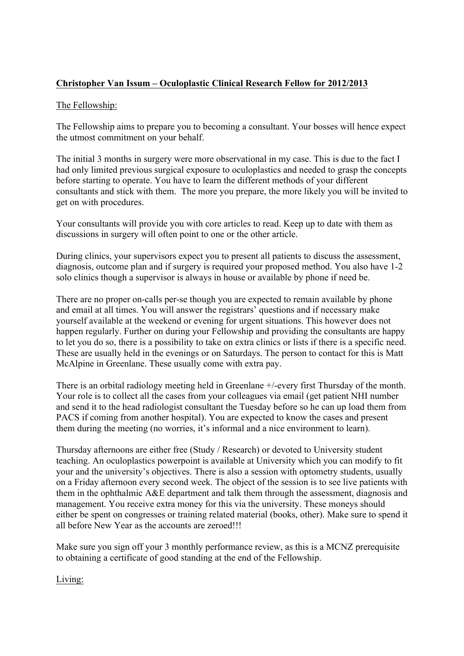## **Christopher Van Issum – Oculoplastic Clinical Research Fellow for 2012/2013**

## The Fellowship:

The Fellowship aims to prepare you to becoming a consultant. Your bosses will hence expect the utmost commitment on your behalf.

The initial 3 months in surgery were more observational in my case. This is due to the fact I had only limited previous surgical exposure to oculoplastics and needed to grasp the concepts before starting to operate. You have to learn the different methods of your different consultants and stick with them. The more you prepare, the more likely you will be invited to get on with procedures.

Your consultants will provide you with core articles to read. Keep up to date with them as discussions in surgery will often point to one or the other article.

During clinics, your supervisors expect you to present all patients to discuss the assessment, diagnosis, outcome plan and if surgery is required your proposed method. You also have 1-2 solo clinics though a supervisor is always in house or available by phone if need be.

There are no proper on-calls per-se though you are expected to remain available by phone and email at all times. You will answer the registrars' questions and if necessary make yourself available at the weekend or evening for urgent situations. This however does not happen regularly. Further on during your Fellowship and providing the consultants are happy to let you do so, there is a possibility to take on extra clinics or lists if there is a specific need. These are usually held in the evenings or on Saturdays. The person to contact for this is Matt McAlpine in Greenlane. These usually come with extra pay.

There is an orbital radiology meeting held in Greenlane +/-every first Thursday of the month. Your role is to collect all the cases from your colleagues via email (get patient NHI number and send it to the head radiologist consultant the Tuesday before so he can up load them from PACS if coming from another hospital). You are expected to know the cases and present them during the meeting (no worries, it's informal and a nice environment to learn).

Thursday afternoons are either free (Study / Research) or devoted to University student teaching. An oculoplastics powerpoint is available at University which you can modify to fit your and the university's objectives. There is also a session with optometry students, usually on a Friday afternoon every second week. The object of the session is to see live patients with them in the ophthalmic A&E department and talk them through the assessment, diagnosis and management. You receive extra money for this via the university. These moneys should either be spent on congresses or training related material (books, other). Make sure to spend it all before New Year as the accounts are zeroed!!!

Make sure you sign off your 3 monthly performance review, as this is a MCNZ prerequisite to obtaining a certificate of good standing at the end of the Fellowship.

Living: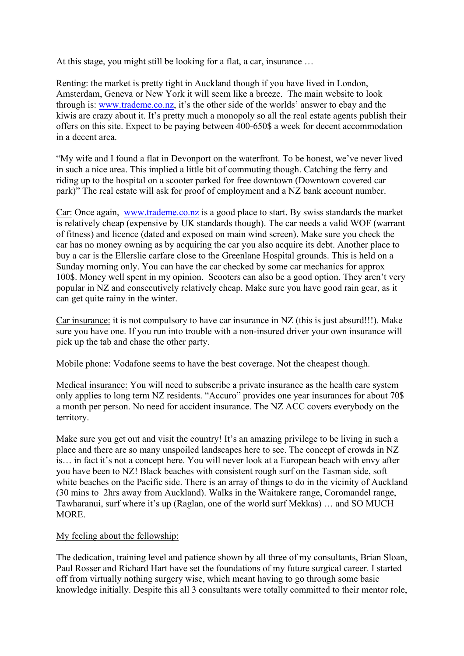At this stage, you might still be looking for a flat, a car, insurance …

Renting: the market is pretty tight in Auckland though if you have lived in London, Amsterdam, Geneva or New York it will seem like a breeze. The main website to look through is: www.trademe.co.nz, it's the other side of the worlds' answer to ebay and the kiwis are crazy about it. It's pretty much a monopoly so all the real estate agents publish their offers on this site. Expect to be paying between 400-650\$ a week for decent accommodation in a decent area.

"My wife and I found a flat in Devonport on the waterfront. To be honest, we've never lived in such a nice area. This implied a little bit of commuting though. Catching the ferry and riding up to the hospital on a scooter parked for free downtown (Downtown covered car park)" The real estate will ask for proof of employment and a NZ bank account number.

Car: Once again, www.trademe.co.nz is a good place to start. By swiss standards the market is relatively cheap (expensive by UK standards though). The car needs a valid WOF (warrant of fitness) and licence (dated and exposed on main wind screen). Make sure you check the car has no money owning as by acquiring the car you also acquire its debt. Another place to buy a car is the Ellerslie carfare close to the Greenlane Hospital grounds. This is held on a Sunday morning only. You can have the car checked by some car mechanics for approx 100\$. Money well spent in my opinion. Scooters can also be a good option. They aren't very popular in NZ and consecutively relatively cheap. Make sure you have good rain gear, as it can get quite rainy in the winter.

Car insurance: it is not compulsory to have car insurance in NZ (this is just absurd!!!). Make sure you have one. If you run into trouble with a non-insured driver your own insurance will pick up the tab and chase the other party.

Mobile phone: Vodafone seems to have the best coverage. Not the cheapest though.

Medical insurance: You will need to subscribe a private insurance as the health care system only applies to long term NZ residents. "Accuro" provides one year insurances for about 70\$ a month per person. No need for accident insurance. The NZ ACC covers everybody on the territory.

Make sure you get out and visit the country! It's an amazing privilege to be living in such a place and there are so many unspoiled landscapes here to see. The concept of crowds in NZ is… in fact it's not a concept here. You will never look at a European beach with envy after you have been to NZ! Black beaches with consistent rough surf on the Tasman side, soft white beaches on the Pacific side. There is an array of things to do in the vicinity of Auckland (30 mins to 2hrs away from Auckland). Walks in the Waitakere range, Coromandel range, Tawharanui, surf where it's up (Raglan, one of the world surf Mekkas) … and SO MUCH **MORE** 

## My feeling about the fellowship:

The dedication, training level and patience shown by all three of my consultants, Brian Sloan, Paul Rosser and Richard Hart have set the foundations of my future surgical career. I started off from virtually nothing surgery wise, which meant having to go through some basic knowledge initially. Despite this all 3 consultants were totally committed to their mentor role,